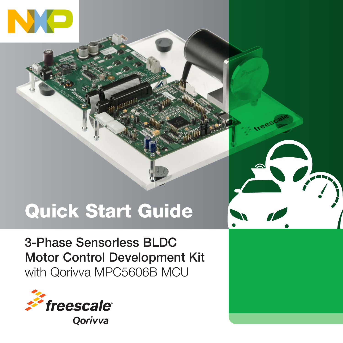

# Quick Start Guide

3-Phase Sensorless BLDC Motor Control Development Kit with Qorivva MPC5606B MCU



Oorivva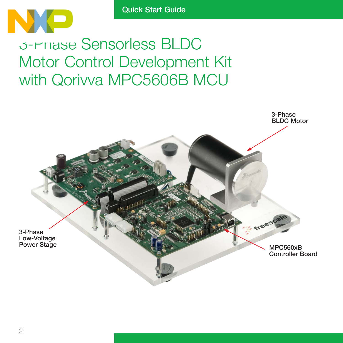

### 3-Phase Sensorless BLDC Motor Control Development Kit with Qorivva MPC5606B MCU

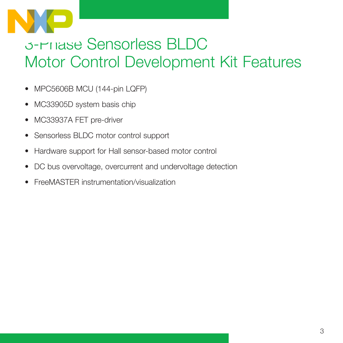

## 3-Phase Sensorless BLDC Motor Control Development Kit Features

- MPC5606B MCU (144-pin LQFP)
- MC33905D system basis chip
- MC33937A FET pre-driver
- Sensorless BLDC motor control support
- Hardware support for Hall sensor-based motor control
- DC bus overvoltage, overcurrent and undervoltage detection
- FreeMASTER instrumentation/visualization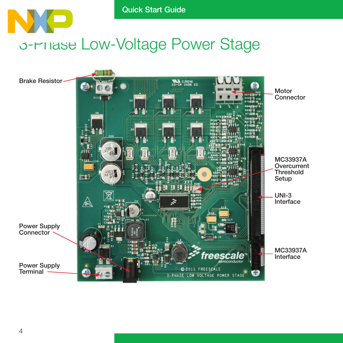### Quick Start Guide NXE 3-Phase Low-Voltage Power Stage

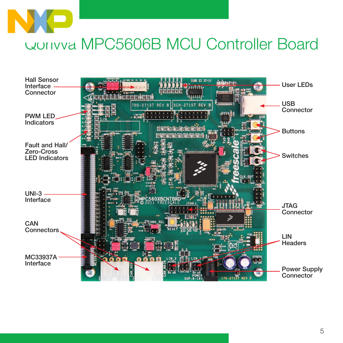

### Qorivva MPC5606B MCU Controller Board

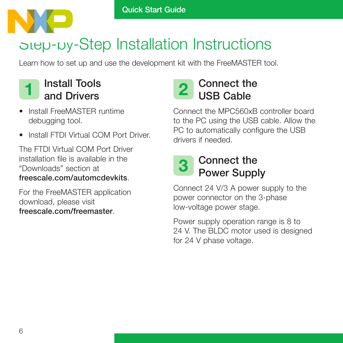

### Step-by-Step Installation Instructions

Learn how to set up and use the development kit with the FreeMASTER tool.

### Install Tools 1 Install lools 2

- Install FreeMASTER runtime debugging tool.
- Install FTDI Virtual COM Port Driver.

The FTDI Virtual COM Port Driver installation file is available in the "Downloads" section at freescale.com/automcdevkits.

For the FreeMASTER application download, please visit freescale.com/freemaster.



#### Connect the MPC560xB controller board to the PC using the USB cable. Allow the PC to automatically configure the USB drivers if needed.

#### Connect the Power Supply 3

Connect 24 V/3 A power supply to the power connector on the 3-phase low-voltage power stage.

Power supply operation range is 8 to 24 V. The BLDC motor used is designed for 24 V phase voltage.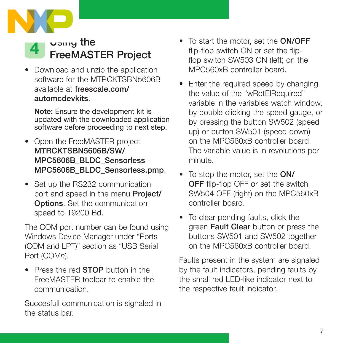



• Download and unzip the application software for the MTRCKTSBN5606B available at freescale.com/ automcdevkits.

Note: Ensure the development kit is updated with the downloaded application software before proceeding to next step.

- Open the FreeMASTER project MTRCKTSBN5606B/SW/ MPC5606B\_BLDC\_Sensorless MPC5606B\_BLDC\_Sensorless.pmp.
- Set up the RS232 communication port and speed in the menu **Project/** Options. Set the communication speed to 19200 Bd.

The COM port number can be found using Windows Device Manager under "Ports (COM and LPT)" section as "USB Serial Port (COMn).

• Press the red **STOP** button in the FreeMASTER toolbar to enable the communication.

Succesfull communication is signaled in the status bar.

- To start the motor, set the ON/OFF flip-flop switch ON or set the flipflop switch SW503 ON (left) on the MPC560xB controller board.
- Enter the required speed by changing the value of the "wRotElRequired" variable in the variables watch window, by double clicking the speed gauge, or by pressing the button SW502 (speed up) or button SW501 (speed down) on the MPC560xB controller board. The variable value is in revolutions per minute.
- To stop the motor, set the **ON/ OFF** flip-flop OFF or set the switch SW504 OFF (right) on the MPC560xB controller board.
- To clear pending faults, click the green Fault Clear button or press the buttons SW501 and SW502 together on the MPC560xB controller board.

Faults present in the system are signaled by the fault indicators, pending faults by the small red LED-like indicator next to the respective fault indicator.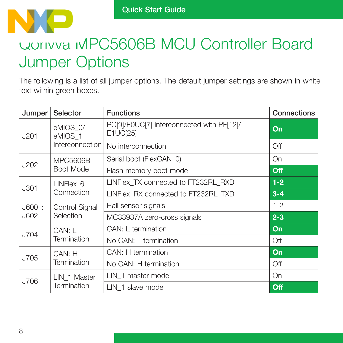

### Qorivva MPC5606B MCU Controller Board Jumper Options

The following is a list of all jumper options. The default jumper settings are shown in white text within green boxes.

| Jumper                     | Selector                               | <b>Functions</b>                                                                                                                                                                                                                                                        | Connections |
|----------------------------|----------------------------------------|-------------------------------------------------------------------------------------------------------------------------------------------------------------------------------------------------------------------------------------------------------------------------|-------------|
| J201                       | eMIOS 0/<br>eMIOS 1<br>Interconnection | PC[9]/E0UC[7] interconnected with PF[12]/<br>E1UC[25]                                                                                                                                                                                                                   | On          |
|                            |                                        | No interconnection                                                                                                                                                                                                                                                      | Off         |
| J202                       | MPC5606B<br>Boot Mode                  | Serial boot (FlexCAN 0)                                                                                                                                                                                                                                                 | On          |
|                            |                                        | Flash memory boot mode                                                                                                                                                                                                                                                  | Off         |
|                            | LINFlex 6                              | LINFlex TX connected to FT232RL RXD<br>LINFlex RX connected to FT232RL TXD<br>Hall sensor signals<br>MC33937A zero-cross signals<br>CAN: L termination<br>No CAN: L termination<br>CAN: H termination<br>No CAN: H termination<br>LIN 1 master mode<br>LIN 1 slave mode | $1-2$       |
| J301                       | Connection                             |                                                                                                                                                                                                                                                                         | $3 - 4$     |
| $\text{J}600 \div$<br>J602 | <b>Control Signal</b><br>Selection     |                                                                                                                                                                                                                                                                         | $1 - 2$     |
|                            |                                        |                                                                                                                                                                                                                                                                         | $2 - 3$     |
|                            | CAN: L                                 |                                                                                                                                                                                                                                                                         | On          |
| J704                       | Termination                            |                                                                                                                                                                                                                                                                         | Off         |
| J705                       | CAN: H<br>Termination                  |                                                                                                                                                                                                                                                                         | On          |
|                            |                                        |                                                                                                                                                                                                                                                                         | Off         |
| J706                       | LIN 1 Master<br>Termination            |                                                                                                                                                                                                                                                                         | On          |
|                            |                                        |                                                                                                                                                                                                                                                                         | Off         |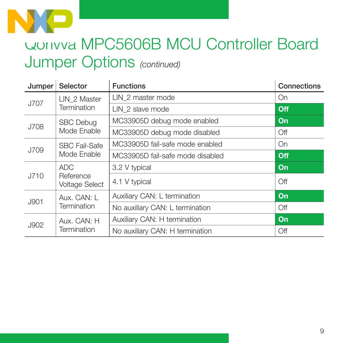

### Qorivva MPC5606B MCU Controller Board Jumper Options (continued)

| Jumper | Selector                                                                                                                                                                                       | <b>Functions</b>                 | Connections |
|--------|------------------------------------------------------------------------------------------------------------------------------------------------------------------------------------------------|----------------------------------|-------------|
| J707   | LIN 2 Master<br>Termination                                                                                                                                                                    | LIN 2 master mode                | On          |
|        |                                                                                                                                                                                                | LIN 2 slave mode                 | Off         |
| J708   | <b>SBC Debug</b><br>Mode Enable                                                                                                                                                                | MC33905D debug mode enabled      | On          |
|        |                                                                                                                                                                                                | MC33905D debug mode disabled     | Off         |
| J709   | <b>SBC Fail-Safe</b><br>Mode Enable                                                                                                                                                            | MC33905D fail-safe mode enabled  | On          |
|        |                                                                                                                                                                                                | MC33905D fail-safe mode disabled | Off         |
| J710   | <b>ADC</b><br>Reference<br><b>Voltage Select</b>                                                                                                                                               | 3.2 V typical                    | On          |
|        |                                                                                                                                                                                                | 4.1 V typical                    | Off         |
| J901   | Auxiliary CAN: L termination<br>Aux. CAN: L<br>Termination<br>No auxiliary CAN: L termination<br>Auxiliary CAN: H termination<br>Aux. CAN: H<br>Termination<br>No auxiliary CAN: H termination | On                               |             |
|        |                                                                                                                                                                                                |                                  | Off         |
| J902   |                                                                                                                                                                                                |                                  | On          |
|        |                                                                                                                                                                                                |                                  | Off         |